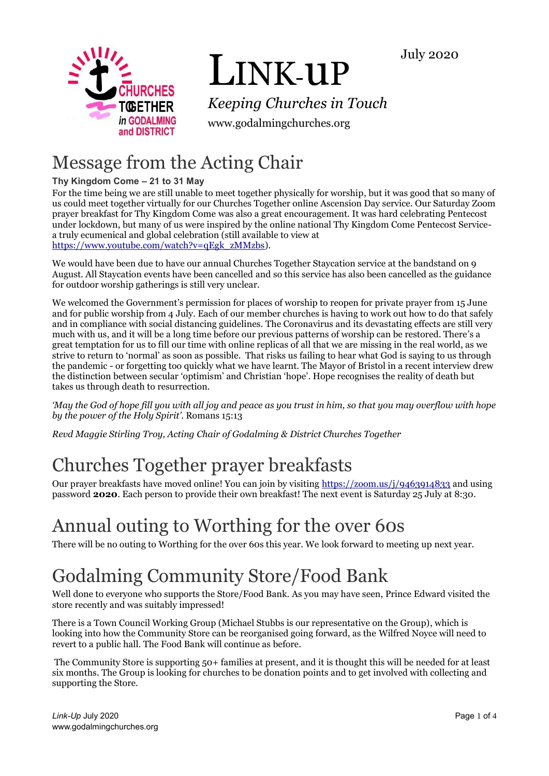



# LINK-uP

*Keeping Churches in Touch*

www.godalmingchurches.org

## Message from the Acting Chair

#### **Thy Kingdom Come – 21 to 31 May**

For the time being we are still unable to meet together physically for worship, but it was good that so many of us could meet together virtually for our Churches Together online Ascension Day service. Our Saturday Zoom prayer breakfast for Thy Kingdom Come was also a great encouragement. It was hard celebrating Pentecost under lockdown, but many of us were inspired by the online national Thy Kingdom Come Pentecost Servicea truly ecumenical and global celebration (still available to view at [https://www.youtube.com/watch?v=qEgk\\_zMMzbs\)](https://www.youtube.com/watch?v=qEgk_zMMzbs).

We would have been due to have our annual Churches Together Staycation service at the bandstand on 9 August. All Staycation events have been cancelled and so this service has also been cancelled as the guidance for outdoor worship gatherings is still very unclear.

We welcomed the Government's permission for places of worship to reopen for private prayer from 15 June and for public worship from 4 July. Each of our member churches is having to work out how to do that safely and in compliance with social distancing guidelines. The Coronavirus and its devastating effects are still very much with us, and it will be a long time before our previous patterns of worship can be restored. There's a great temptation for us to fill our time with online replicas of all that we are missing in the real world, as we strive to return to 'normal' as soon as possible. That risks us failing to hear what God is saying to us through the pandemic - or forgetting too quickly what we have learnt. The Mayor of Bristol in a recent interview drew the distinction between secular 'optimism' and Christian 'hope'. Hope recognises the reality of death but takes us through death to resurrection.

*'May the God of hope fill you with all joy and peace as you trust in him, so that you may overflow with hope by the power of the Holy Spirit'*. Romans 15:13

*Revd Maggie Stirling Troy, Acting Chair of Godalming & District Churches Together*

## Churches Together prayer breakfasts

Our prayer breakfasts have moved online! You can join by visiting<https://zoom.us/j/9463914833> and using password **2020**. Each person to provide their own breakfast! The next event is Saturday 25 July at 8:30.

### Annual outing to Worthing for the over 60s

There will be no outing to Worthing for the over 60s this year. We look forward to meeting up next year.

## Godalming Community Store/Food Bank

Well done to everyone who supports the Store/Food Bank. As you may have seen, Prince Edward visited the store recently and was suitably impressed!

There is a Town Council Working Group (Michael Stubbs is our representative on the Group), which is looking into how the Community Store can be reorganised going forward, as the Wilfred Noyce will need to revert to a public hall. The Food Bank will continue as before.

The Community Store is supporting 50+ families at present, and it is thought this will be needed for at least six months. The Group is looking for churches to be donation points and to get involved with collecting and supporting the Store.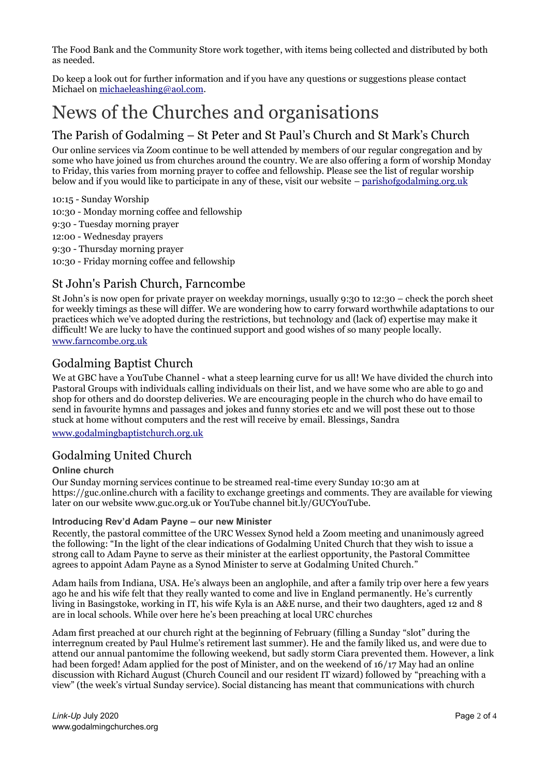The Food Bank and the Community Store work together, with items being collected and distributed by both as needed.

Do keep a look out for further information and if you have any questions or suggestions please contact Michael on [michaeleashing@aol.com.](mailto:michaeleashing@aol.com)

### News of the Churches and organisations

### The Parish of Godalming – St Peter and St Paul's Church and St Mark's Church

Our online services via Zoom continue to be well attended by members of our regular congregation and by some who have joined us from churches around the country. We are also offering a form of worship Monday to Friday, this varies from morning prayer to coffee and fellowship. Please see the list of regular worship below and if you would like to participate in any of these, visit our website – [parishofgodalming.org.uk](https://parishofgodalming.org.uk/)

10:15 - Sunday Worship

10:30 - Monday morning coffee and fellowship

- 9:30 Tuesday morning prayer
- 12:00 Wednesday prayers

9:30 - Thursday morning prayer

10:30 - Friday morning coffee and fellowship

#### St John's Parish Church, Farncombe

St John's is now open for private prayer on weekday mornings, usually 9:30 to 12:30 – check the porch sheet for weekly timings as these will differ. We are wondering how to carry forward worthwhile adaptations to our practices which we've adopted during the restrictions, but technology and (lack of) expertise may make it difficult! We are lucky to have the continued support and good wishes of so many people locally. [www.farncombe.org.uk](http://www.farncombe.org.uk/)

#### Godalming Baptist Church

We at GBC have a YouTube Channel - what a steep learning curve for us all! We have divided the church into Pastoral Groups with individuals calling individuals on their list, and we have some who are able to go and shop for others and do doorstep deliveries. We are encouraging people in the church who do have email to send in favourite hymns and passages and jokes and funny stories etc and we will post these out to those stuck at home without computers and the rest will receive by email. Blessings, Sandra

[www.godalmingbaptistchurch.org.uk](http://www.godalmingbaptistchurch.org.uk/)

#### Godalming United Church

#### **Online church**

Our Sunday morning services continue to be streamed real-time every Sunday 10:30 am at https://guc.online.church with a facility to exchange greetings and comments. They are available for viewing later on our website www.guc.org.uk or YouTube channel bit.ly/GUCYouTube.

#### **Introducing Rev'd Adam Payne – our new Minister**

Recently, the pastoral committee of the URC Wessex Synod held a Zoom meeting and unanimously agreed the following: "In the light of the clear indications of Godalming United Church that they wish to issue a strong call to Adam Payne to serve as their minister at the earliest opportunity, the Pastoral Committee agrees to appoint Adam Payne as a Synod Minister to serve at Godalming United Church."

Adam hails from Indiana, USA. He's always been an anglophile, and after a family trip over here a few years ago he and his wife felt that they really wanted to come and live in England permanently. He's currently living in Basingstoke, working in IT, his wife Kyla is an A&E nurse, and their two daughters, aged 12 and 8 are in local schools. While over here he's been preaching at local URC churches

Adam first preached at our church right at the beginning of February (filling a Sunday "slot" during the interregnum created by Paul Hulme's retirement last summer). He and the family liked us, and were due to attend our annual pantomime the following weekend, but sadly storm Ciara prevented them. However, a link had been forged! Adam applied for the post of Minister, and on the weekend of 16/17 May had an online discussion with Richard August (Church Council and our resident IT wizard) followed by "preaching with a view" (the week's virtual Sunday service). Social distancing has meant that communications with church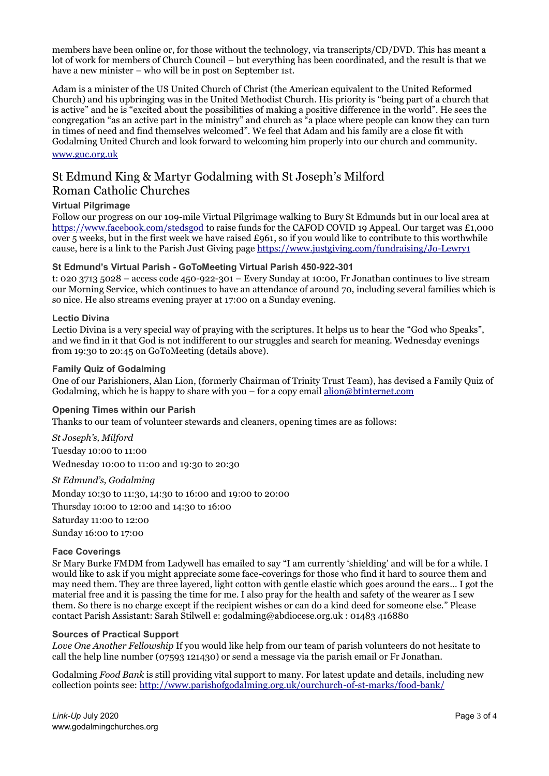members have been online or, for those without the technology, via transcripts/CD/DVD. This has meant a lot of work for members of Church Council – but everything has been coordinated, and the result is that we have a new minister – who will be in post on September 1st.

Adam is a minister of the US United Church of Christ (the American equivalent to the United Reformed Church) and his upbringing was in the United Methodist Church. His priority is "being part of a church that is active" and he is "excited about the possibilities of making a positive difference in the world". He sees the congregation "as an active part in the ministry" and church as "a place where people can know they can turn in times of need and find themselves welcomed". We feel that Adam and his family are a close fit with Godalming United Church and look forward to welcoming him properly into our church and community. [www.guc.org.uk](http://www.guc.org.uk/)

St Edmund King & Martyr Godalming with St Joseph's Milford Roman Catholic Churches

#### **Virtual Pilgrimage**

Follow our progress on our 109-mile Virtual Pilgrimage walking to Bury St Edmunds but in our local area at <https://www.facebook.com/stedsgod> to raise funds for the CAFOD COVID 19 Appeal. Our target was £1,000 over 5 weeks, but in the first week we have raised £961, so if you would like to contribute to this worthwhile cause, here is a link to the Parish Just Giving page<https://www.justgiving.com/fundraising/Jo-Lewry1>

#### **St Edmund's Virtual Parish - GoToMeeting Virtual Parish 450-922-301**

t: 020 3713 5028 – access code 450-922-301 – Every Sunday at 10:00, Fr Jonathan continues to live stream our Morning Service, which continues to have an attendance of around 70, including several families which is so nice. He also streams evening prayer at 17:00 on a Sunday evening.

#### **Lectio Divina**

Lectio Divina is a very special way of praying with the scriptures. It helps us to hear the "God who Speaks", and we find in it that God is not indifferent to our struggles and search for meaning. Wednesday evenings from 19:30 to 20:45 on GoToMeeting (details above).

#### **Family Quiz of Godalming**

One of our Parishioners, Alan Lion, (formerly Chairman of Trinity Trust Team), has devised a Family Quiz of Godalming, which he is happy to share with you – for a copy email  $\underline{alion@b}$ tinternet.com

#### **Opening Times within our Parish**

Thanks to our team of volunteer stewards and cleaners, opening times are as follows:

*St Joseph's, Milford* Tuesday 10:00 to 11:00 Wednesday 10:00 to 11:00 and 19:30 to 20:30

#### *St Edmund's, Godalming*

Monday 10:30 to 11:30, 14:30 to 16:00 and 19:00 to 20:00 Thursday 10:00 to 12:00 and 14:30 to 16:00 Saturday 11:00 to 12:00 Sunday 16:00 to 17:00

#### **Face Coverings**

Sr Mary Burke FMDM from Ladywell has emailed to say "I am currently 'shielding' and will be for a while. I would like to ask if you might appreciate some face-coverings for those who find it hard to source them and may need them. They are three layered, light cotton with gentle elastic which goes around the ears… I got the material free and it is passing the time for me. I also pray for the health and safety of the wearer as I sew them. So there is no charge except if the recipient wishes or can do a kind deed for someone else." Please contact Parish Assistant: Sarah Stilwell e: godalming@abdiocese.org.uk : 01483 416880

#### **Sources of Practical Support**

*Love One Another Fellowship* If you would like help from our team of parish volunteers do not hesitate to call the help line number (07593 121430) or send a message via the parish email or Fr Jonathan.

Godalming *Food Bank* is still providing vital support to many. For latest update and details, including new collection points see:<http://www.parishofgodalming.org.uk/ourchurch-of-st-marks/food-bank/>